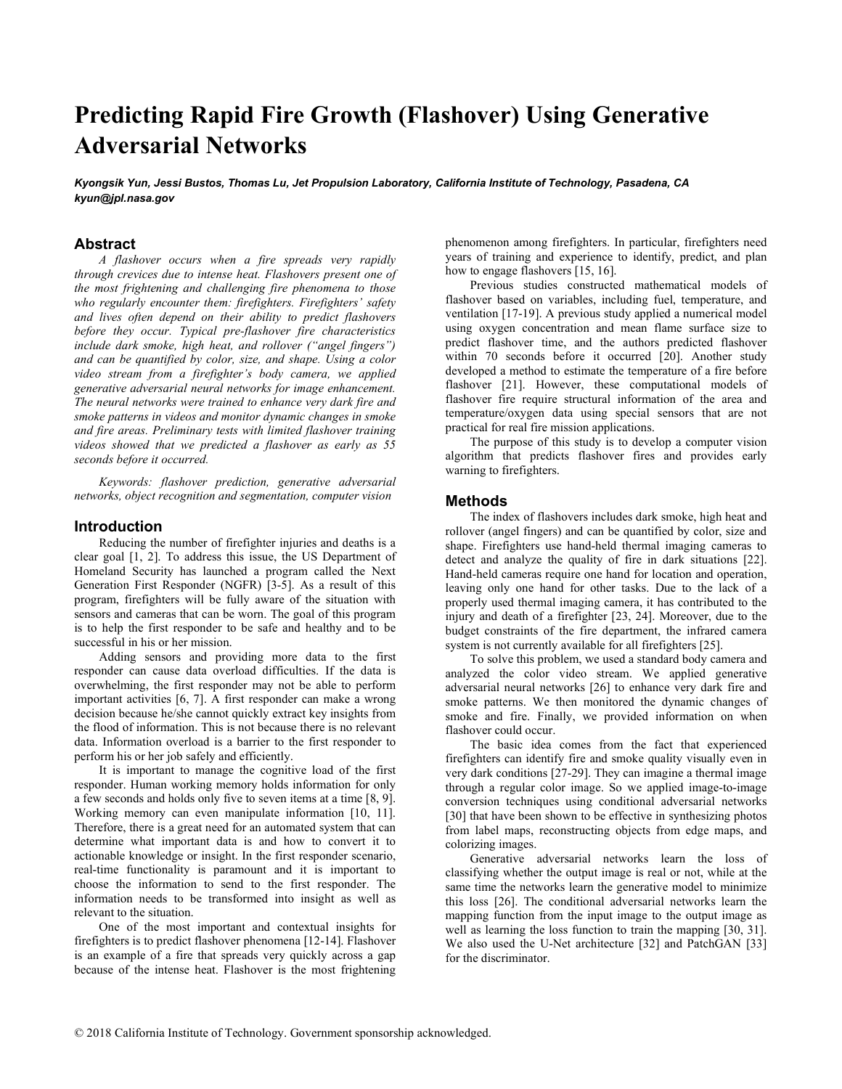# Predicting Rapid Fire Growth (Flashover) Using Generative Adversarial Networks

Kyongsik Yun, Jessi Bustos, Thomas Lu, Jet Propulsion Laboratory, California Institute of Technology, Pasadena, CA kyun@jpl.nasa.gov

# Abstract

A flashover occurs when a fire spreads very rapidly through crevices due to intense heat. Flashovers present one of the most frightening and challenging fire phenomena to those who regularly encounter them: firefighters. Firefighters' safety and lives often depend on their ability to predict flashovers before they occur. Typical pre-flashover fire characteristics include dark smoke, high heat, and rollover ("angel fingers") and can be quantified by color, size, and shape. Using a color video stream from a firefighter's body camera, we applied generative adversarial neural networks for image enhancement. The neural networks were trained to enhance very dark fire and smoke patterns in videos and monitor dynamic changes in smoke and fire areas. Preliminary tests with limited flashover training videos showed that we predicted a flashover as early as 55 seconds before it occurred.

Keywords: flashover prediction, generative adversarial networks, object recognition and segmentation, computer vision

#### Introduction

Reducing the number of firefighter injuries and deaths is a clear goal [1, 2]. To address this issue, the US Department of Homeland Security has launched a program called the Next Generation First Responder (NGFR) [3-5]. As a result of this program, firefighters will be fully aware of the situation with sensors and cameras that can be worn. The goal of this program is to help the first responder to be safe and healthy and to be successful in his or her mission.

Adding sensors and providing more data to the first responder can cause data overload difficulties. If the data is overwhelming, the first responder may not be able to perform important activities [6, 7]. A first responder can make a wrong decision because he/she cannot quickly extract key insights from the flood of information. This is not because there is no relevant data. Information overload is a barrier to the first responder to perform his or her job safely and efficiently.

It is important to manage the cognitive load of the first responder. Human working memory holds information for only a few seconds and holds only five to seven items at a time [8, 9]. Working memory can even manipulate information [10, 11]. Therefore, there is a great need for an automated system that can determine what important data is and how to convert it to actionable knowledge or insight. In the first responder scenario, real-time functionality is paramount and it is important to choose the information to send to the first responder. The information needs to be transformed into insight as well as relevant to the situation.

One of the most important and contextual insights for firefighters is to predict flashover phenomena [12-14]. Flashover is an example of a fire that spreads very quickly across a gap because of the intense heat. Flashover is the most frightening phenomenon among firefighters. In particular, firefighters need years of training and experience to identify, predict, and plan how to engage flashovers [15, 16].

Previous studies constructed mathematical models of flashover based on variables, including fuel, temperature, and ventilation [17-19]. A previous study applied a numerical model using oxygen concentration and mean flame surface size to predict flashover time, and the authors predicted flashover within 70 seconds before it occurred  $[20]$ . Another study developed a method to estimate the temperature of a fire before flashover [21]. However, these computational models of flashover fire require structural information of the area and temperature/oxygen data using special sensors that are not practical for real fire mission applications.

The purpose of this study is to develop a computer vision algorithm that predicts flashover fires and provides early warning to firefighters.

#### Methods

The index of flashovers includes dark smoke, high heat and rollover (angel fingers) and can be quantified by color, size and shape. Firefighters use hand-held thermal imaging cameras to detect and analyze the quality of fire in dark situations [22]. Hand-held cameras require one hand for location and operation, leaving only one hand for other tasks. Due to the lack of a properly used thermal imaging camera, it has contributed to the injury and death of a firefighter [23, 24]. Moreover, due to the budget constraints of the fire department, the infrared camera system is not currently available for all firefighters [25].

To solve this problem, we used a standard body camera and analyzed the color video stream. We applied generative adversarial neural networks [26] to enhance very dark fire and smoke patterns. We then monitored the dynamic changes of smoke and fire. Finally, we provided information on when flashover could occur.

The basic idea comes from the fact that experienced firefighters can identify fire and smoke quality visually even in very dark conditions [27-29]. They can imagine a thermal image through a regular color image. So we applied image-to-image conversion techniques using conditional adversarial networks [30] that have been shown to be effective in synthesizing photos from label maps, reconstructing objects from edge maps, and colorizing images.

Generative adversarial networks learn the loss of classifying whether the output image is real or not, while at the same time the networks learn the generative model to minimize this loss [26]. The conditional adversarial networks learn the mapping function from the input image to the output image as well as learning the loss function to train the mapping [30, 31]. We also used the U-Net architecture [32] and PatchGAN [33] for the discriminator.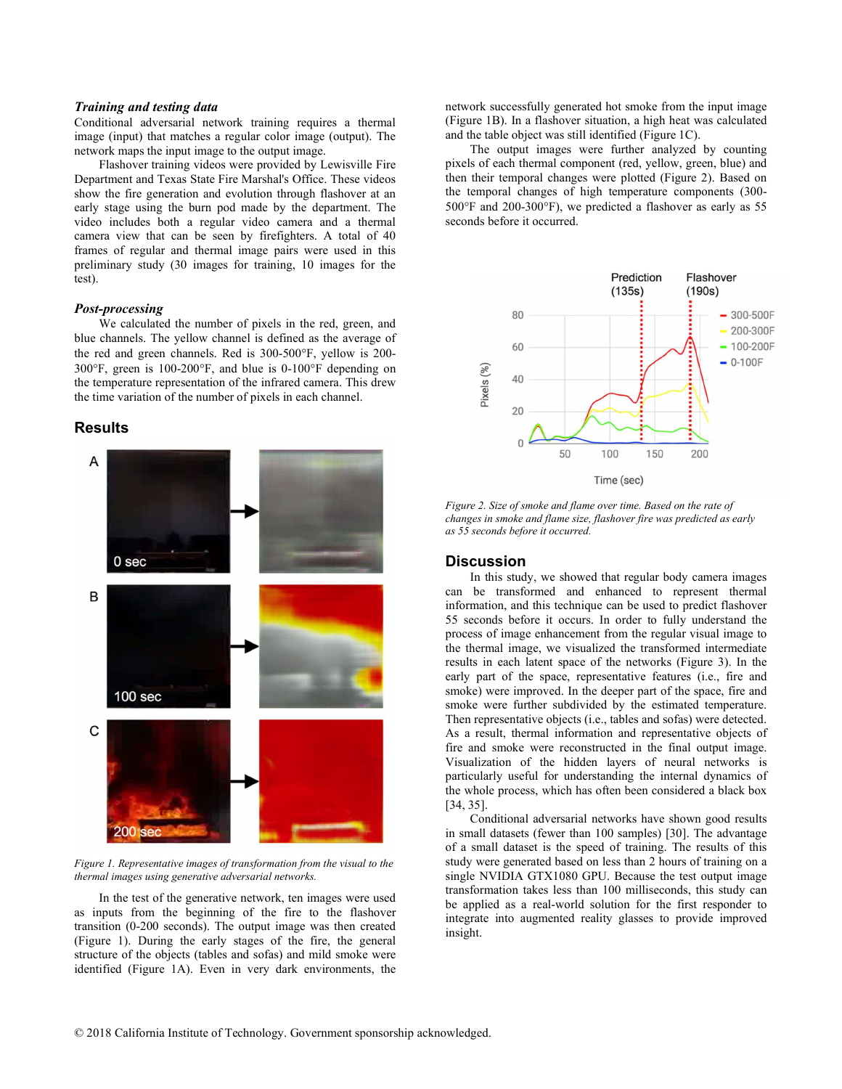### Training and testing data

Conditional adversarial network training requires a thermal image (input) that matches a regular color image (output). The network maps the input image to the output image.

Flashover training videos were provided by Lewisville Fire Department and Texas State Fire Marshal's Office. These videos show the fire generation and evolution through flashover at an early stage using the burn pod made by the department. The video includes both a regular video camera and a thermal camera view that can be seen by firefighters. A total of 40 frames of regular and thermal image pairs were used in this preliminary study (30 images for training, 10 images for the test).

#### Post-processing

We calculated the number of pixels in the red, green, and blue channels. The yellow channel is defined as the average of the red and green channels. Red is 300-500°F, yellow is 200- $300^{\circ}$ F, green is  $100{\text -}200^{\circ}$ F, and blue is 0-100 $^{\circ}$ F depending on the temperature representation of the infrared camera. This drew the time variation of the number of pixels in each channel.

#### Results



Figure 1. Representative images of transformation from the visual to the thermal images using generative adversarial networks.

In the test of the generative network, ten images were used as inputs from the beginning of the fire to the flashover transition (0-200 seconds). The output image was then created (Figure 1). During the early stages of the fire, the general structure of the objects (tables and sofas) and mild smoke were identified (Figure 1A). Even in very dark environments, the network successfully generated hot smoke from the input image (Figure 1B). In a flashover situation, a high heat was calculated and the table object was still identified (Figure 1C).

The output images were further analyzed by counting pixels of each thermal component (red, yellow, green, blue) and then their temporal changes were plotted (Figure 2). Based on the temporal changes of high temperature components (300-  $500^{\circ}$ F and  $200$ - $300^{\circ}$ F), we predicted a flashover as early as 55 seconds before it occurred.



Figure 2. Size of smoke and flame over time. Based on the rate of changes in smoke and flame size, flashover fire was predicted as early as 55 seconds before it occurred.

## **Discussion**

In this study, we showed that regular body camera images can be transformed and enhanced to represent thermal information, and this technique can be used to predict flashover 55 seconds before it occurs. In order to fully understand the process of image enhancement from the regular visual image to the thermal image, we visualized the transformed intermediate results in each latent space of the networks (Figure 3). In the early part of the space, representative features (i.e., fire and smoke) were improved. In the deeper part of the space, fire and smoke were further subdivided by the estimated temperature. Then representative objects (i.e., tables and sofas) were detected. As a result, thermal information and representative objects of fire and smoke were reconstructed in the final output image. Visualization of the hidden layers of neural networks is particularly useful for understanding the internal dynamics of the whole process, which has often been considered a black box [34, 35].

Conditional adversarial networks have shown good results in small datasets (fewer than 100 samples) [30]. The advantage of a small dataset is the speed of training. The results of this study were generated based on less than 2 hours of training on a single NVIDIA GTX1080 GPU. Because the test output image transformation takes less than 100 milliseconds, this study can be applied as a real-world solution for the first responder to integrate into augmented reality glasses to provide improved insight.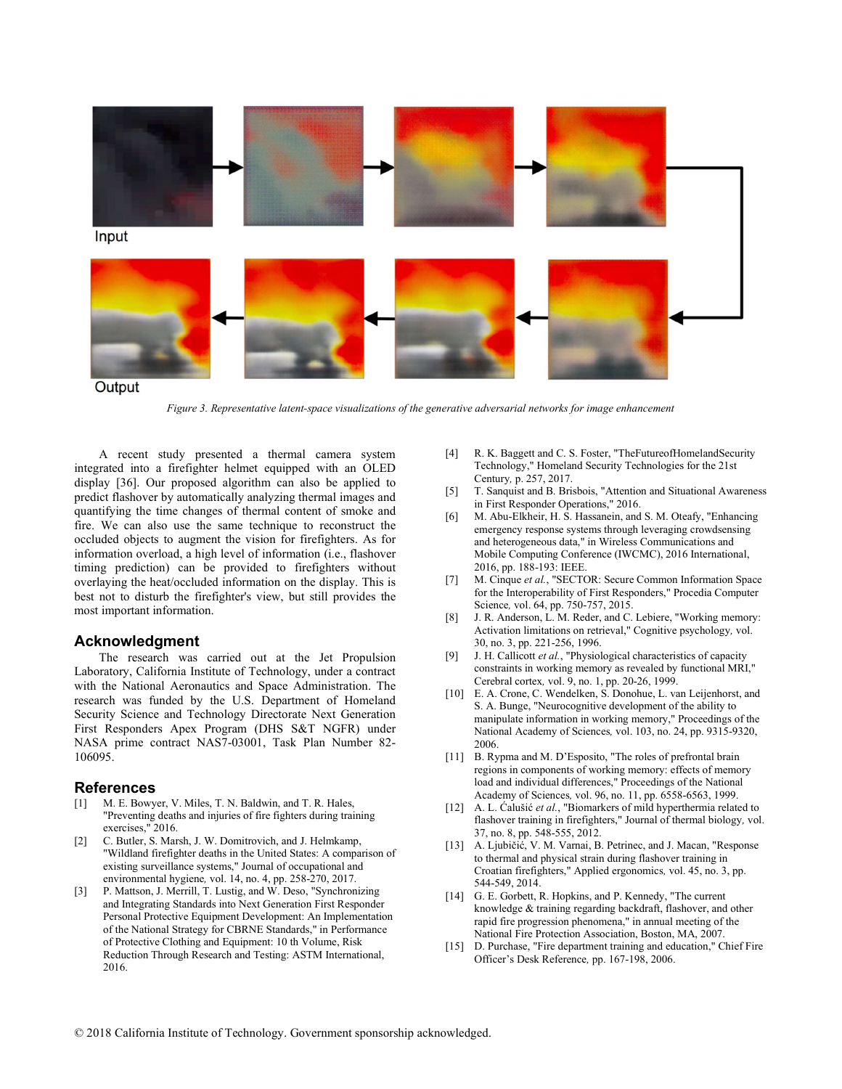

Figure 3. Representative latent-space visualizations of the generative adversarial networks for image enhancement

A recent study presented a thermal camera system integrated into a firefighter helmet equipped with an OLED display [36]. Our proposed algorithm can also be applied to predict flashover by automatically analyzing thermal images and quantifying the time changes of thermal content of smoke and fire. We can also use the same technique to reconstruct the occluded objects to augment the vision for firefighters. As for information overload, a high level of information (i.e., flashover timing prediction) can be provided to firefighters without overlaying the heat/occluded information on the display. This is best not to disturb the firefighter's view, but still provides the most important information.

## Acknowledgment

The research was carried out at the Jet Propulsion Laboratory, California Institute of Technology, under a contract with the National Aeronautics and Space Administration. The research was funded by the U.S. Department of Homeland Security Science and Technology Directorate Next Generation First Responders Apex Program (DHS S&T NGFR) under NASA prime contract NAS7-03001, Task Plan Number 82- 106095.

#### References

- [1] M. E. Bowyer, V. Miles, T. N. Baldwin, and T. R. Hales, "Preventing deaths and injuries of fire fighters during training exercises," 2016.
- [2] C. Butler, S. Marsh, J. W. Domitrovich, and J. Helmkamp, "Wildland firefighter deaths in the United States: A comparison of existing surveillance systems," Journal of occupational and environmental hygiene, vol. 14, no. 4, pp. 258-270, 2017.
- [3] P. Mattson, J. Merrill, T. Lustig, and W. Deso, "Synchronizing and Integrating Standards into Next Generation First Responder Personal Protective Equipment Development: An Implementation of the National Strategy for CBRNE Standards," in Performance of Protective Clothing and Equipment: 10 th Volume, Risk Reduction Through Research and Testing: ASTM International, 2016.
- R. K. Baggett and C. S. Foster, "TheFutureofHomelandSecurity Technology," Homeland Security Technologies for the 21st Century, p. 257, 2017.
- [5] T. Sanquist and B. Brisbois, "Attention and Situational Awareness in First Responder Operations," 2016.
- [6] M. Abu-Elkheir, H. S. Hassanein, and S. M. Oteafy, "Enhancing emergency response systems through leveraging crowdsensing and heterogeneous data," in Wireless Communications and Mobile Computing Conference (IWCMC), 2016 International, 2016, pp. 188-193: IEEE.
- [7] M. Cinque et al., "SECTOR: Secure Common Information Space for the Interoperability of First Responders," Procedia Computer Science, vol. 64, pp. 750-757, 2015.
- [8] J. R. Anderson, L. M. Reder, and C. Lebiere, "Working memory: Activation limitations on retrieval," Cognitive psychology, vol. 30, no. 3, pp. 221-256, 1996.
- [9] J. H. Callicott et al., "Physiological characteristics of capacity constraints in working memory as revealed by functional MRI," Cerebral cortex, vol. 9, no. 1, pp. 20-26, 1999.
- [10] E. A. Crone, C. Wendelken, S. Donohue, L. van Leijenhorst, and S. A. Bunge, "Neurocognitive development of the ability to manipulate information in working memory," Proceedings of the National Academy of Sciences, vol. 103, no. 24, pp. 9315-9320, 2006.
- [11] B. Rypma and M. D'Esposito, "The roles of prefrontal brain regions in components of working memory: effects of memory load and individual differences," Proceedings of the National Academy of Sciences, vol. 96, no. 11, pp. 6558-6563, 1999.
- [12] A. L. Ćalušić et al., "Biomarkers of mild hyperthermia related to flashover training in firefighters," Journal of thermal biology, vol. 37, no. 8, pp. 548-555, 2012.
- [13] A. Ljubičić, V. M. Varnai, B. Petrinec, and J. Macan, "Response to thermal and physical strain during flashover training in Croatian firefighters," Applied ergonomics, vol. 45, no. 3, pp. 544-549, 2014.
- [14] G. E. Gorbett, R. Hopkins, and P. Kennedy, "The current knowledge & training regarding backdraft, flashover, and other rapid fire progression phenomena," in annual meeting of the National Fire Protection Association, Boston, MA, 2007.
- [15] D. Purchase, "Fire department training and education," Chief Fire Officer's Desk Reference, pp. 167-198, 2006.